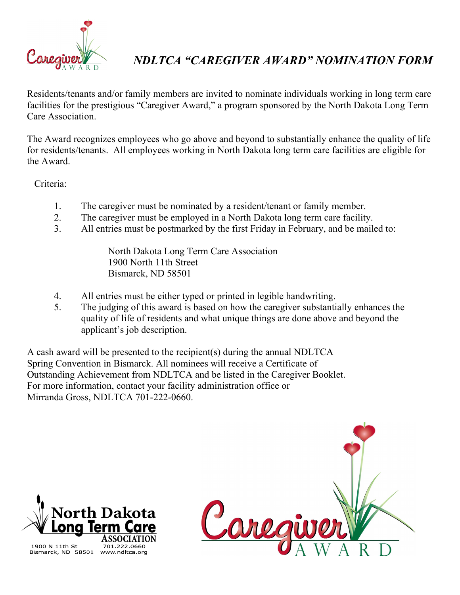

## *NDLTCA "CAREGIVER AWARD" NOMINATION FORM*

Residents/tenants and/or family members are invited to nominate individuals working in long term care facilities for the prestigious "Caregiver Award," a program sponsored by the North Dakota Long Term Care Association.

The Award recognizes employees who go above and beyond to substantially enhance the quality of life for residents/tenants. All employees working in North Dakota long term care facilities are eligible for the Award.

Criteria:

- 1. The caregiver must be nominated by a resident/tenant or family member.
- 2. The caregiver must be employed in a North Dakota long term care facility.
- 3. All entries must be postmarked by the first Friday in February, and be mailed to:

 North Dakota Long Term Care Association 1900 North 11th Street Bismarck, ND 58501

- 4. All entries must be either typed or printed in legible handwriting.
- 5. The judging of this award is based on how the caregiver substantially enhances the quality of life of residents and what unique things are done above and beyond the applicant's job description.

A cash award will be presented to the recipient(s) during the annual NDLTCA Spring Convention in Bismarck. All nominees will receive a Certificate of Outstanding Achievement from NDLTCA and be listed in the Caregiver Booklet. For more information, contact your facility administration office or Mirranda Gross, NDLTCA 701-222-0660.





Bismarck, ND 58501 www.ndltca.org